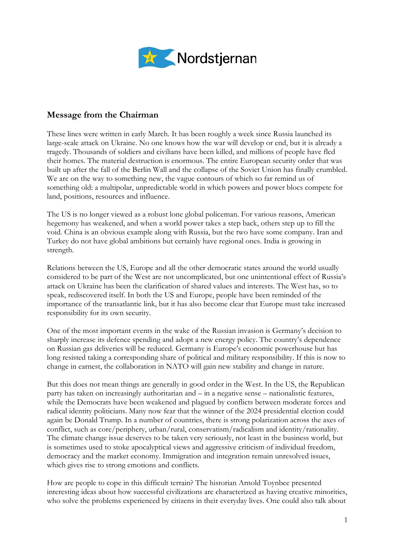

## **Message from the Chairman**

These lines were written in early March. It has been roughly a week since Russia launched its large-scale attack on Ukraine. No one knows how the war will develop or end, but it is already a tragedy. Thousands of soldiers and civilians have been killed, and millions of people have fled their homes. The material destruction is enormous. The entire European security order that was built up after the fall of the Berlin Wall and the collapse of the Soviet Union has finally crumbled. We are on the way to something new, the vague contours of which so far remind us of something old: a multipolar, unpredictable world in which powers and power blocs compete for land, positions, resources and influence.

The US is no longer viewed as a robust lone global policeman. For various reasons, American hegemony has weakened, and when a world power takes a step back, others step up to fill the void. China is an obvious example along with Russia, but the two have some company. Iran and Turkey do not have global ambitions but certainly have regional ones. India is growing in strength.

Relations between the US, Europe and all the other democratic states around the world usually considered to be part of the West are not uncomplicated, but one unintentional effect of Russia's attack on Ukraine has been the clarification of shared values and interests. The West has, so to speak, rediscovered itself. In both the US and Europe, people have been reminded of the importance of the transatlantic link, but it has also become clear that Europe must take increased responsibility for its own security.

One of the most important events in the wake of the Russian invasion is Germany's decision to sharply increase its defence spending and adopt a new energy policy. The country's dependence on Russian gas deliveries will be reduced. Germany is Europe's economic powerhouse but has long resisted taking a corresponding share of political and military responsibility. If this is now to change in earnest, the collaboration in NATO will gain new stability and change in nature.

But this does not mean things are generally in good order in the West. In the US, the Republican party has taken on increasingly authoritarian and – in a negative sense – nationalistic features, while the Democrats have been weakened and plagued by conflicts between moderate forces and radical identity politicians. Many now fear that the winner of the 2024 presidential election could again be Donald Trump. In a number of countries, there is strong polarization across the axes of conflict, such as core/periphery, urban/rural, conservatism/radicalism and identity/rationality. The climate change issue deserves to be taken very seriously, not least in the business world, but is sometimes used to stoke apocalyptical views and aggressive criticism of individual freedom, democracy and the market economy. Immigration and integration remain unresolved issues, which gives rise to strong emotions and conflicts.

How are people to cope in this difficult terrain? The historian Arnold Toynbee presented interesting ideas about how successful civilizations are characterized as having creative minorities, who solve the problems experienced by citizens in their everyday lives. One could also talk about